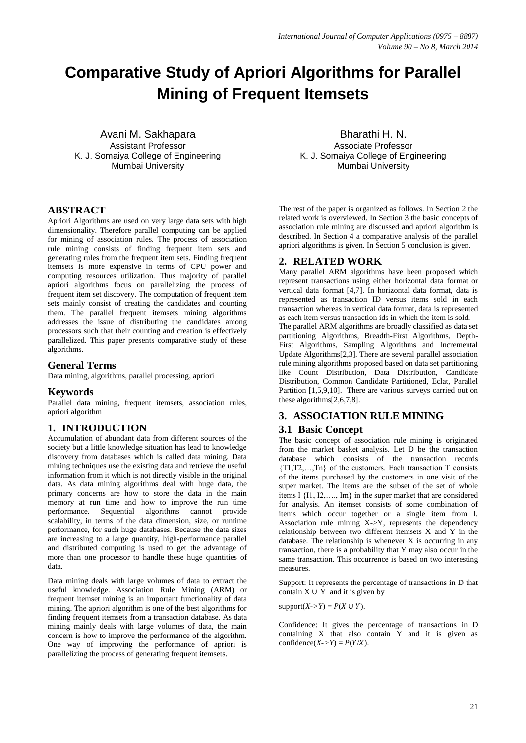# **Comparative Study of Apriori Algorithms for Parallel Mining of Frequent Itemsets**

Avani M. Sakhapara Bharathi H. N. K. J. Somaiya College of Engineering The M. S. Somaiya College of Engineering

**ABSTRACT**

Apriori Algorithms are used on very large data sets with high dimensionality. Therefore parallel computing can be applied for mining of association rules. The process of association rule mining consists of finding frequent item sets and generating rules from the frequent item sets. Finding frequent itemsets is more expensive in terms of CPU power and computing resources utilization. Thus majority of parallel apriori algorithms focus on parallelizing the process of frequent item set discovery. The computation of frequent item sets mainly consist of creating the candidates and counting them. The parallel frequent itemsets mining algorithms addresses the issue of distributing the candidates among processors such that their counting and creation is effectively parallelized. This paper presents comparative study of these algorithms.

### **General Terms**

Data mining, algorithms, parallel processing, apriori

### **Keywords**

Parallel data mining, frequent itemsets, association rules, apriori algorithm

# **1. INTRODUCTION**

Accumulation of abundant data from different sources of the society but a little knowledge situation has lead to knowledge discovery from databases which is called data mining. Data mining techniques use the existing data and retrieve the useful information from it which is not directly visible in the original data. As data mining algorithms deal with huge data, the primary concerns are how to store the data in the main memory at run time and how to improve the run time performance. Sequential algorithms cannot provide scalability, in terms of the data dimension, size, or runtime performance, for such huge databases. Because the data sizes are increasing to a large quantity, high-performance parallel and distributed computing is used to get the advantage of more than one processor to handle these huge quantities of data.

Data mining deals with large volumes of data to extract the useful knowledge. Association Rule Mining (ARM) or frequent itemset mining is an important functionality of data mining. The apriori algorithm is one of the best algorithms for finding frequent itemsets from a transaction database. As data mining mainly deals with large volumes of data, the main concern is how to improve the performance of the algorithm. One way of improving the performance of apriori is parallelizing the process of generating frequent itemsets.

Assistant Professor **Associate Professor** Associate Professor Mumbai University Mumbai University

> The rest of the paper is organized as follows. In Section 2 the related work is overviewed. In Section 3 the basic concepts of association rule mining are discussed and apriori algorithm is described. In Section 4 a comparative analysis of the parallel apriori algorithms is given. In Section 5 conclusion is given.

### **2. RELATED WORK**

Many parallel ARM algorithms have been proposed which represent transactions using either horizontal data format or vertical data format [4,7]. In horizontal data format, data is represented as transaction ID versus items sold in each transaction whereas in vertical data format, data is represented as each item versus transaction ids in which the item is sold.

The parallel ARM algorithms are broadly classified as data set partitioning Algorithms, Breadth-First Algorithms, Depth-First Algorithms, Sampling Algorithms and Incremental Update Algorithms[2,3]. There are several parallel association rule mining algorithms proposed based on data set partitioning like Count Distribution, Data Distribution, Candidate Distribution, Common Candidate Partitioned, Eclat, Parallel Partition [1,5,9,10]. There are various surveys carried out on these algorithms[2,6,7,8].

# **3. ASSOCIATION RULE MINING**

### **3.1 Basic Concept**

The basic concept of association rule mining is originated from the market basket analysis. Let D be the transaction database which consists of the transaction records {T1,T2,…,Tn} of the customers. Each transaction T consists of the items purchased by the customers in one visit of the super market. The items are the subset of the set of whole items I {I1, I2,…., Im} in the super market that are considered for analysis. An itemset consists of some combination of items which occur together or a single item from I. Association rule mining X->Y, represents the dependency relationship between two different itemsets X and Y in the database. The relationship is whenever  $X$  is occurring in any transaction, there is a probability that Y may also occur in the same transaction. This occurrence is based on two interesting measures.

Support: It represents the percentage of transactions in D that contain  $X \cup Y$  and it is given by

support $(X > Y) = P(X \cup Y)$ .

Confidence: It gives the percentage of transactions in D containing X that also contain Y and it is given as confidence( $X > Y$ ) =  $P(Y/X)$ .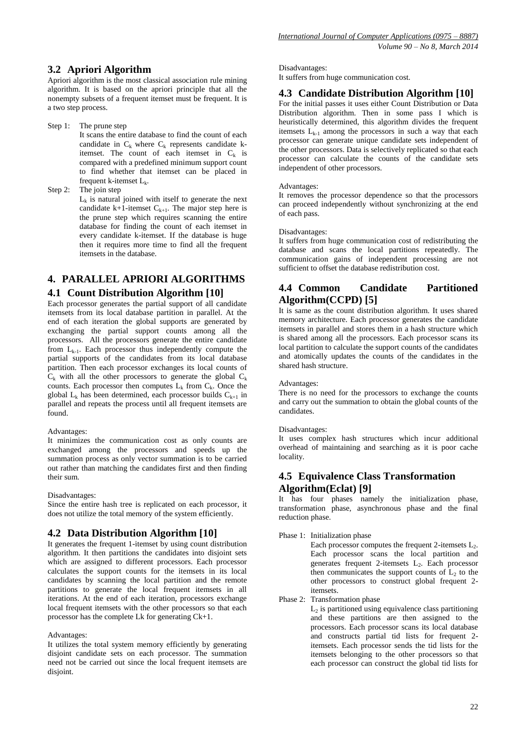### **3.2 Apriori Algorithm**

Apriori algorithm is the most classical association rule mining algorithm. It is based on the apriori principle that all the nonempty subsets of a frequent itemset must be frequent. It is a two step process.

Step 1: The prune step It scans the entire database to find the count of each candidate in  $C_k$  where  $C_k$  represents candidate kitemset. The count of each itemset in  $C_k$  is compared with a predefined minimum support count to find whether that itemset can be placed in frequent k-itemset  $L_k$ .

Step 2: The join step  $L<sub>k</sub>$  is natural joined with itself to generate the next candidate k+1-itemset  $C_{k+1}$ . The major step here is the prune step which requires scanning the entire database for finding the count of each itemset in every candidate k-itemset. If the database is huge then it requires more time to find all the frequent itemsets in the database.

# **4. PARALLEL APRIORI ALGORITHMS 4.1 Count Distribution Algorithm [10]**

Each processor generates the partial support of all candidate itemsets from its local database partition in parallel. At the end of each iteration the global supports are generated by exchanging the partial support counts among all the processors. All the processors generate the entire candidate from  $L_{k-1}$ . Each processor thus independently compute the partial supports of the candidates from its local database partition. Then each processor exchanges its local counts of  $C_k$  with all the other processors to generate the global  $C_k$ counts. Each processor then computes  $L_k$  from  $C_k$ . Once the global  $L_k$  has been determined, each processor builds  $C_{k+1}$  in parallel and repeats the process until all frequent itemsets are found.

#### Advantages:

It minimizes the communication cost as only counts are exchanged among the processors and speeds up the summation process as only vector summation is to be carried out rather than matching the candidates first and then finding their sum.

#### Disadvantages:

Since the entire hash tree is replicated on each processor, it does not utilize the total memory of the system efficiently.

# **4.2 Data Distribution Algorithm [10]**

It generates the frequent 1-itemset by using count distribution algorithm. It then partitions the candidates into disjoint sets which are assigned to different processors. Each processor calculates the support counts for the itemsets in its local candidates by scanning the local partition and the remote partitions to generate the local frequent itemsets in all iterations. At the end of each iteration, processors exchange local frequent itemsets with the other processors so that each processor has the complete Lk for generating Ck+1.

#### Advantages:

It utilizes the total system memory efficiently by generating disjoint candidate sets on each processor. The summation need not be carried out since the local frequent itemsets are disjoint.

#### Disadvantages:

It suffers from huge communication cost.

### **4.3 Candidate Distribution Algorithm [10]**

For the initial passes it uses either Count Distribution or Data Distribution algorithm. Then in some pass I which is heuristically determined, this algorithm divides the frequent itemsets  $L_{k-1}$  among the processors in such a way that each processor can generate unique candidate sets independent of the other processors. Data is selectively replicated so that each processor can calculate the counts of the candidate sets independent of other processors.

#### Advantages:

It removes the processor dependence so that the processors can proceed independently without synchronizing at the end of each pass.

### Disadvantages:

It suffers from huge communication cost of redistributing the database and scans the local partitions repeatedly. The communication gains of independent processing are not sufficient to offset the database redistribution cost.

# **4.4 Common Candidate Partitioned Algorithm(CCPD) [5]**

It is same as the count distribution algorithm. It uses shared memory architecture. Each processor generates the candidate itemsets in parallel and stores them in a hash structure which is shared among all the processors. Each processor scans its local partition to calculate the support counts of the candidates and atomically updates the counts of the candidates in the shared hash structure.

#### Advantages:

There is no need for the processors to exchange the counts and carry out the summation to obtain the global counts of the candidates.

#### Disadvantages:

It uses complex hash structures which incur additional overhead of maintaining and searching as it is poor cache locality.

# **4.5 Equivalence Class Transformation Algorithm(Eclat) [9]**

It has four phases namely the initialization phase, transformation phase, asynchronous phase and the final reduction phase.

Phase 1: Initialization phase

Each processor computes the frequent 2-itemsets  $L_2$ . Each processor scans the local partition and generates frequent 2-itemsets  $L_2$ . Each processor then communicates the support counts of  $L_2$  to the other processors to construct global frequent 2 itemsets.

Phase 2: Transformation phase

L2 is partitioned using equivalence class partitioning and these partitions are then assigned to the processors. Each processor scans its local database and constructs partial tid lists for frequent 2 itemsets. Each processor sends the tid lists for the itemsets belonging to the other processors so that each processor can construct the global tid lists for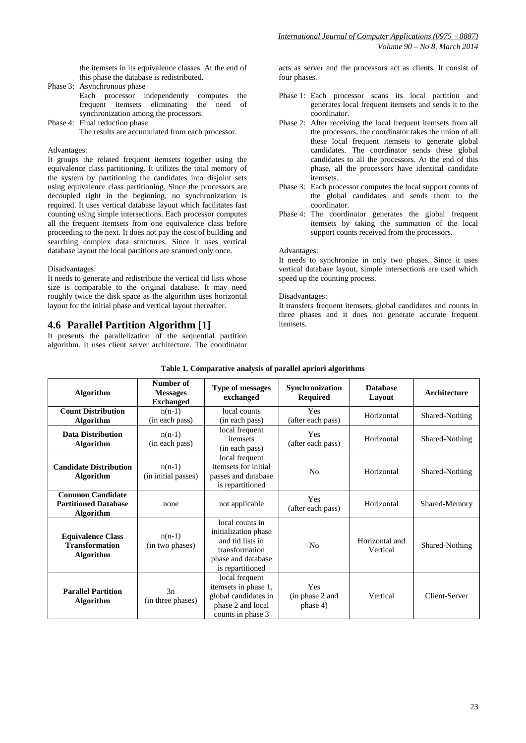the itemsets in its equivalence classes. At the end of this phase the database is redistributed.

- Phase 3: Asynchronous phase Each processor independently computes the frequent itemsets eliminating the need of synchronization among the processors.
- Phase 4: Final reduction phase The results are accumulated from each processor.

### Advantages:

It groups the related frequent itemsets together using the equivalence class partitioning. It utilizes the total memory of the system by partitioning the candidates into disjoint sets using equivalence class partitioning. Since the processors are decoupled right in the beginning, no synchronization is required. It uses vertical database layout which facilitates fast counting using simple intersections. Each processor computes all the frequent itemsets from one equivalence class before proceeding to the next. It does not pay the cost of building and searching complex data structures. Since it uses vertical database layout the local partitions are scanned only once.

#### Disadvantages:

It needs to generate and redistribute the vertical tid lists whose size is comparable to the original database. It may need roughly twice the disk space as the algorithm uses horizontal layout for the initial phase and vertical layout thereafter.

# **4.6 Parallel Partition Algorithm [1]**

It presents the parallelization of the sequential partition algorithm. It uses client server architecture. The coordinator

acts as server and the processors act as clients. It consist of four phases.

- Phase 1: Each processor scans its local partition and generates local frequent itemsets and sends it to the coordinator.
- Phase 2: After receiving the local frequent itemsets from all the processors, the coordinator takes the union of all these local frequent itemsets to generate global candidates. The coordinator sends these global candidates to all the processors. At the end of this phase, all the processors have identical candidate itemsets.
- Phase 3: Each processor computes the local support counts of the global candidates and sends them to the coordinator.
- Phase 4: The coordinator generates the global frequent itemsets by taking the summation of the local support counts received from the processors.

#### Advantages:

It needs to synchronize in only two phases. Since it uses vertical database layout, simple intersections are used which speed up the counting process.

#### Disadvantages:

It transfers frequent itemsets, global candidates and counts in three phases and it does not generate accurate frequent itemsets.

| <b>Algorithm</b>                                                           | Number of<br><b>Messages</b><br><b>Exchanged</b> | <b>Type of messages</b><br>exchanged                                                                                    | Synchronization<br><b>Required</b> | <b>Database</b><br>Layout  | Architecture   |
|----------------------------------------------------------------------------|--------------------------------------------------|-------------------------------------------------------------------------------------------------------------------------|------------------------------------|----------------------------|----------------|
| <b>Count Distribution</b><br><b>Algorithm</b>                              | $n(n-1)$<br>(in each pass)                       | local counts<br>(in each pass)                                                                                          | Yes<br>(after each pass)           | Horizontal                 | Shared-Nothing |
| <b>Data Distribution</b><br><b>Algorithm</b>                               | $n(n-1)$<br>(in each pass)                       | local frequent<br>itemsets<br>(in each pass)                                                                            | Yes<br>(after each pass)           | Horizontal                 | Shared-Nothing |
| <b>Candidate Distribution</b><br><b>Algorithm</b>                          | $n(n-1)$<br>(in initial passes)                  | local frequent<br>itemsets for initial<br>passes and database<br>is repartitioned                                       | N <sub>0</sub>                     | Horizontal                 | Shared-Nothing |
| <b>Common Candidate</b><br><b>Partitioned Database</b><br><b>Algorithm</b> | none                                             | not applicable                                                                                                          | Yes<br>(after each pass)           | Horizontal                 | Shared-Memory  |
| <b>Equivalence Class</b><br><b>Transformation</b><br><b>Algorithm</b>      | $n(n-1)$<br>(in two phases)                      | local counts in<br>initialization phase<br>and tid lists in<br>transformation<br>phase and database<br>is repartitioned | N <sub>0</sub>                     | Horizontal and<br>Vertical | Shared-Nothing |
| <b>Parallel Partition</b><br><b>Algorithm</b>                              | 3n<br>(in three phases)                          | local frequent<br>itemsets in phase 1,<br>global candidates in<br>phase 2 and local<br>counts in phase 3                | Yes<br>(in phase 2 and<br>phase 4) | Vertical                   | Client-Server  |

### **Table 1. Comparative analysis of parallel apriori algorithms**